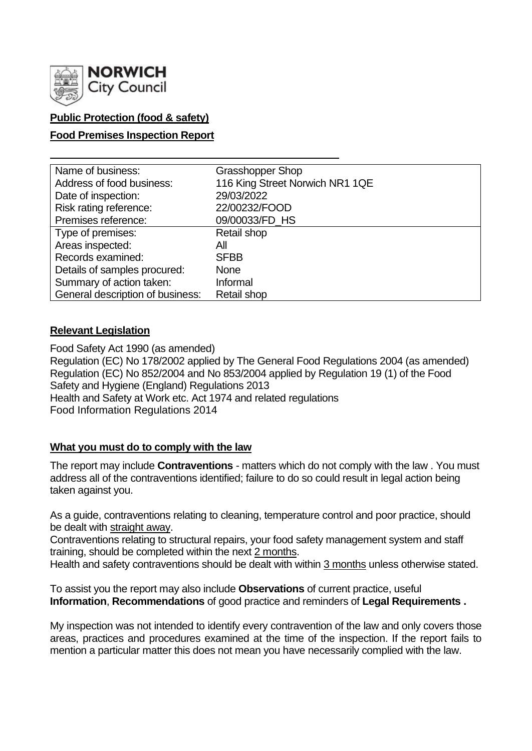

# **Public Protection (food & safety)**

## **Food Premises Inspection Report**

| Name of business:                | <b>Grasshopper Shop</b>         |
|----------------------------------|---------------------------------|
| Address of food business:        | 116 King Street Norwich NR1 1QE |
| Date of inspection:              | 29/03/2022                      |
| Risk rating reference:           | 22/00232/FOOD                   |
| Premises reference:              | 09/00033/FD HS                  |
| Type of premises:                | Retail shop                     |
| Areas inspected:                 | All                             |
| Records examined:                | <b>SFBB</b>                     |
| Details of samples procured:     | <b>None</b>                     |
| Summary of action taken:         | Informal                        |
| General description of business: | Retail shop                     |

## **Relevant Legislation**

Food Safety Act 1990 (as amended) Regulation (EC) No 178/2002 applied by The General Food Regulations 2004 (as amended) Regulation (EC) No 852/2004 and No 853/2004 applied by Regulation 19 (1) of the Food Safety and Hygiene (England) Regulations 2013 Health and Safety at Work etc. Act 1974 and related regulations Food Information Regulations 2014

## **What you must do to comply with the law**

The report may include **Contraventions** - matters which do not comply with the law . You must address all of the contraventions identified; failure to do so could result in legal action being taken against you.

As a guide, contraventions relating to cleaning, temperature control and poor practice, should be dealt with straight away.

Contraventions relating to structural repairs, your food safety management system and staff training, should be completed within the next 2 months.

Health and safety contraventions should be dealt with within 3 months unless otherwise stated.

To assist you the report may also include **Observations** of current practice, useful **Information**, **Recommendations** of good practice and reminders of **Legal Requirements .**

My inspection was not intended to identify every contravention of the law and only covers those areas, practices and procedures examined at the time of the inspection. If the report fails to mention a particular matter this does not mean you have necessarily complied with the law.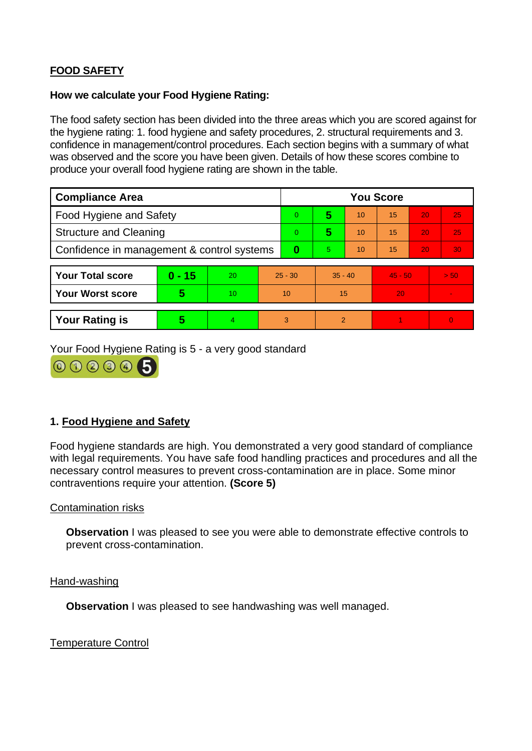# **FOOD SAFETY**

#### **How we calculate your Food Hygiene Rating:**

The food safety section has been divided into the three areas which you are scored against for the hygiene rating: 1. food hygiene and safety procedures, 2. structural requirements and 3. confidence in management/control procedures. Each section begins with a summary of what was observed and the score you have been given. Details of how these scores combine to produce your overall food hygiene rating are shown in the table.

| <b>Compliance Area</b>                     |          |    |           | <b>You Score</b> |                |    |           |    |          |  |
|--------------------------------------------|----------|----|-----------|------------------|----------------|----|-----------|----|----------|--|
| <b>Food Hygiene and Safety</b>             |          |    |           | 0                | 5              | 10 | 15        | 20 | 25       |  |
| <b>Structure and Cleaning</b>              |          |    | 0         | 5                | 10             | 15 | 20        | 25 |          |  |
| Confidence in management & control systems |          |    | 0         | 5.               | 10             | 15 | 20        | 30 |          |  |
|                                            |          |    |           |                  |                |    |           |    |          |  |
| <b>Your Total score</b>                    | $0 - 15$ | 20 | $25 - 30$ |                  | $35 - 40$      |    | $45 - 50$ |    | > 50     |  |
| <b>Your Worst score</b>                    | 5        | 10 | 10        |                  | 15             |    | 20        |    |          |  |
|                                            |          |    |           |                  |                |    |           |    |          |  |
| <b>Your Rating is</b>                      | 5        | 4  |           | 3                | $\overline{2}$ |    |           |    | $\Omega$ |  |

Your Food Hygiene Rating is 5 - a very good standard



# **1. Food Hygiene and Safety**

Food hygiene standards are high. You demonstrated a very good standard of compliance with legal requirements. You have safe food handling practices and procedures and all the necessary control measures to prevent cross-contamination are in place. Some minor contraventions require your attention. **(Score 5)**

## Contamination risks

**Observation** I was pleased to see you were able to demonstrate effective controls to prevent cross-contamination.

#### Hand-washing

**Observation I** was pleased to see handwashing was well managed.

Temperature Control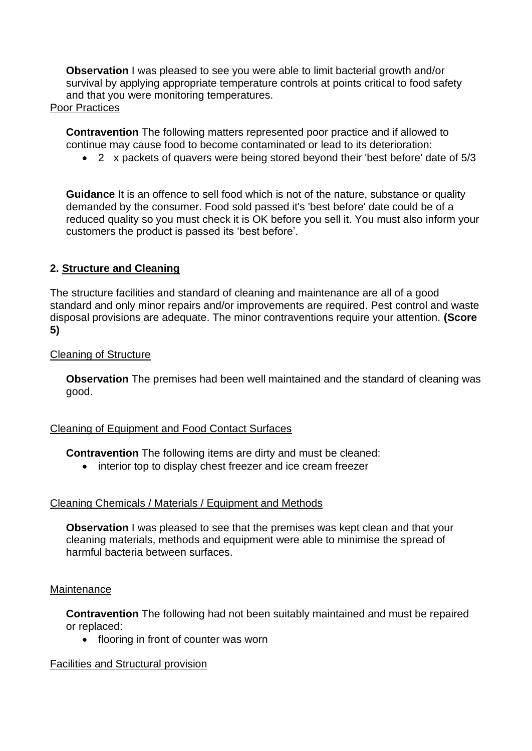**Observation** I was pleased to see you were able to limit bacterial growth and/or survival by applying appropriate temperature controls at points critical to food safety and that you were monitoring temperatures.

## Poor Practices

**Contravention** The following matters represented poor practice and if allowed to continue may cause food to become contaminated or lead to its deterioration:

• 2 x packets of quavers were being stored beyond their 'best before' date of 5/3

**Guidance** It is an offence to sell food which is not of the nature, substance or quality demanded by the consumer. Food sold passed it's 'best before' date could be of a reduced quality so you must check it is OK before you sell it. You must also inform your customers the product is passed its 'best before'.

# **2. Structure and Cleaning**

The structure facilities and standard of cleaning and maintenance are all of a good standard and only minor repairs and/or improvements are required. Pest control and waste disposal provisions are adequate. The minor contraventions require your attention. **(Score 5)**

## Cleaning of Structure

**Observation** The premises had been well maintained and the standard of cleaning was good.

# Cleaning of Equipment and Food Contact Surfaces

**Contravention** The following items are dirty and must be cleaned:

• interior top to display chest freezer and ice cream freezer

# Cleaning Chemicals / Materials / Equipment and Methods

**Observation** I was pleased to see that the premises was kept clean and that your cleaning materials, methods and equipment were able to minimise the spread of harmful bacteria between surfaces.

## **Maintenance**

**Contravention** The following had not been suitably maintained and must be repaired or replaced:

• flooring in front of counter was worn

# Facilities and Structural provision